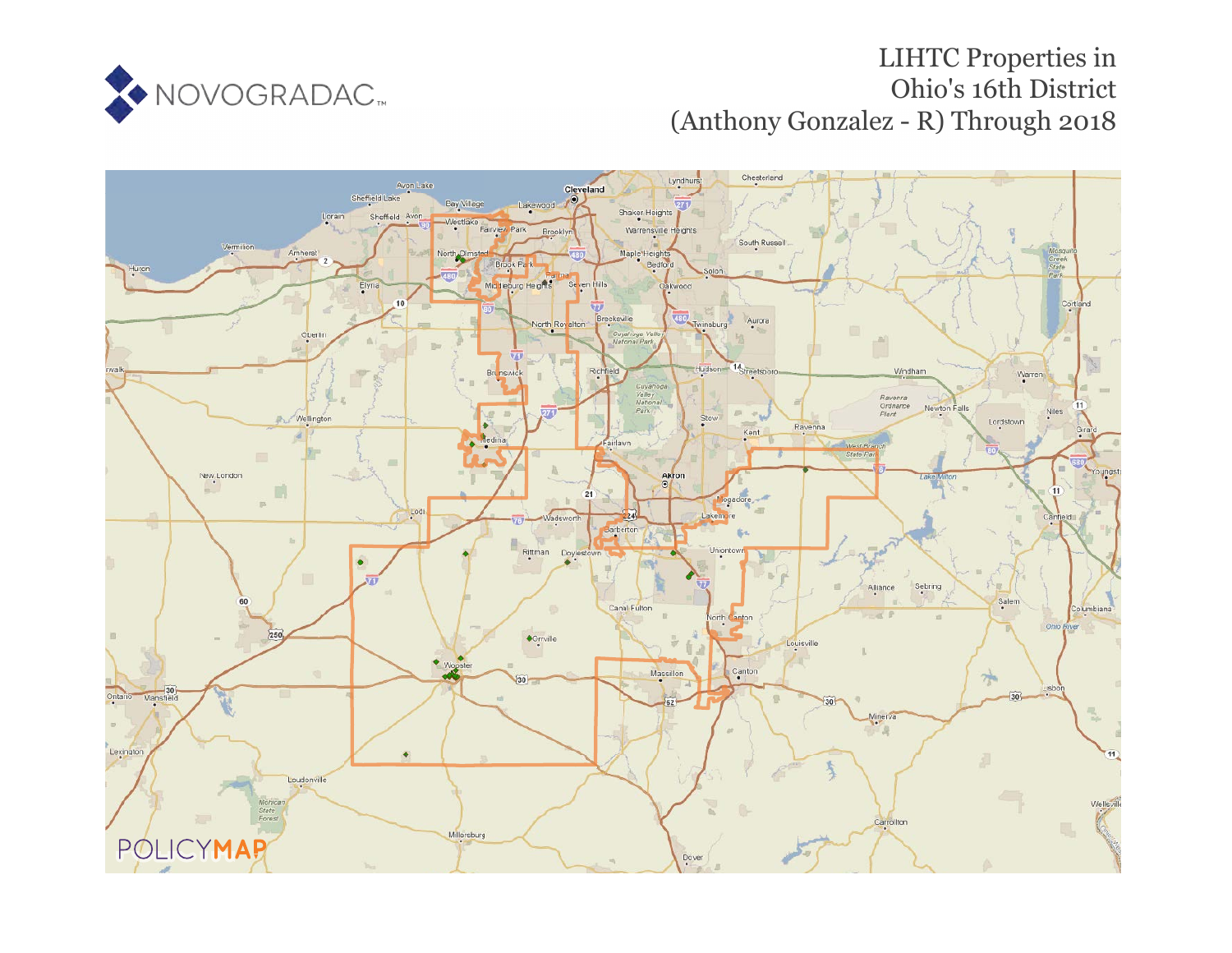

## LIHTC Properties in Ohio's 16th District (Anthony Gonzalez - R) Through 2018

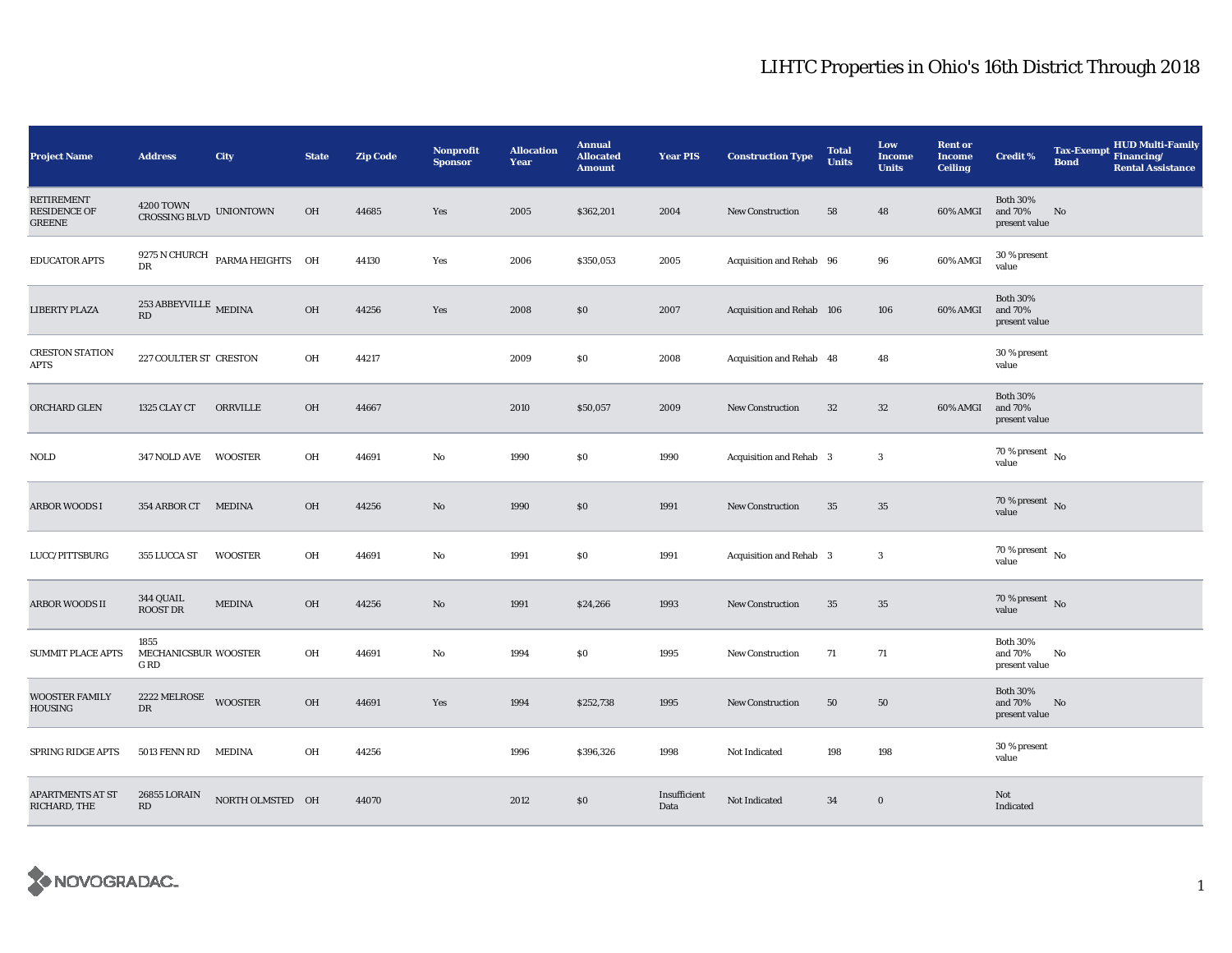## LIHTC Properties in Ohio's 16th District Through 2018

| <b>Project Name</b>                                       | <b>Address</b>                       | <b>City</b>                                | <b>State</b> | <b>Zip Code</b> | <b>Nonprofit</b><br><b>Sponsor</b> | <b>Allocation</b><br>Year | <b>Annual</b><br><b>Allocated</b><br><b>Amount</b> | <b>Year PIS</b>      | <b>Construction Type</b>  | <b>Total</b><br><b>Units</b> | Low<br><b>Income</b><br><b>Units</b> | <b>Rent or</b><br><b>Income</b><br><b>Ceiling</b> | <b>Credit %</b>                             | <b>Tax-Exempt</b><br><b>Bond</b> | HUD Multi-Family<br>Financing/<br><b>Rental Assistance</b> |
|-----------------------------------------------------------|--------------------------------------|--------------------------------------------|--------------|-----------------|------------------------------------|---------------------------|----------------------------------------------------|----------------------|---------------------------|------------------------------|--------------------------------------|---------------------------------------------------|---------------------------------------------|----------------------------------|------------------------------------------------------------|
| <b>RETIREMENT</b><br><b>RESIDENCE OF</b><br><b>GREENE</b> | CROSSING BLVD UNIONTOWN              |                                            | OH           | 44685           | Yes                                | 2005                      | \$362,201                                          | 2004                 | New Construction          | 58                           | 48                                   | 60% AMGI                                          | <b>Both 30%</b><br>and 70%<br>present value | No                               |                                                            |
| <b>EDUCATOR APTS</b>                                      | DR                                   | $9275\,\mathrm{N}$ CHURCH PARMA HEIGHTS OH |              | 44130           | Yes                                | 2006                      | \$350,053                                          | 2005                 | Acquisition and Rehab 96  |                              | 96                                   | 60% AMGI                                          | 30 % present<br>value                       |                                  |                                                            |
| <b>LIBERTY PLAZA</b>                                      | $253$ ABBEYVILLE $\,$ MEDINA<br>RD   |                                            | OH           | 44256           | Yes                                | 2008                      | \$0                                                | 2007                 | Acquisition and Rehab 106 |                              | 106                                  | 60% AMGI                                          | <b>Both 30%</b><br>and 70%<br>present value |                                  |                                                            |
| <b>CRESTON STATION</b><br>APTS                            | 227 COULTER ST CRESTON               |                                            | OH           | 44217           |                                    | 2009                      | \$0                                                | 2008                 | Acquisition and Rehab 48  |                              | 48                                   |                                                   | 30 % present<br>value                       |                                  |                                                            |
| ORCHARD GLEN                                              | 1325 CLAY CT                         | ORRVILLE                                   | OH           | 44667           |                                    | 2010                      | \$50,057                                           | 2009                 | New Construction          | 32                           | $32\,$                               | 60% AMGI                                          | <b>Both 30%</b><br>and 70%<br>present value |                                  |                                                            |
| <b>NOLD</b>                                               | 347 NOLD AVE WOOSTER                 |                                            | OH           | 44691           | No                                 | 1990                      | \$0                                                | 1990                 | Acquisition and Rehab 3   |                              | 3                                    |                                                   | 70 % present $\bar{N}$ o<br>value           |                                  |                                                            |
| <b>ARBOR WOODS I</b>                                      | 354 ARBOR CT MEDINA                  |                                            | OH           | 44256           | No                                 | 1990                      | \$0                                                | 1991                 | <b>New Construction</b>   | 35                           | 35                                   |                                                   | $70$ % present $\,$ No value                |                                  |                                                            |
| LUCC/PITTSBURG                                            | 355 LUCCA ST                         | WOOSTER                                    | OH           | 44691           | No                                 | 1991                      | \$0                                                | 1991                 | Acquisition and Rehab 3   |                              | 3                                    |                                                   | 70 % present $\hbox{~No}$<br>value          |                                  |                                                            |
| ARBOR WOODS II                                            | 344 QUAIL<br>ROOST DR                | <b>MEDINA</b>                              | OH           | 44256           | $\mathbf{N}\mathbf{o}$             | 1991                      | \$24,266                                           | 1993                 | New Construction          | 35                           | 35                                   |                                                   | 70 % present $\overline{N}$<br>value        |                                  |                                                            |
| <b>SUMMIT PLACE APTS</b>                                  | 1855<br>MECHANICSBUR WOOSTER<br>G RD |                                            | OH           | 44691           | No                                 | 1994                      | \$0                                                | 1995                 | New Construction          | 71                           | 71                                   |                                                   | <b>Both 30%</b><br>and 70%<br>present value | No                               |                                                            |
| <b>WOOSTER FAMILY</b><br><b>HOUSING</b>                   | 2222 MELROSE<br>DR                   | <b>WOOSTER</b>                             | OH           | 44691           | Yes                                | 1994                      | \$252,738                                          | 1995                 | <b>New Construction</b>   | 50                           | 50                                   |                                                   | <b>Both 30%</b><br>and 70%<br>present value | $\mathbf{N}\mathbf{o}$           |                                                            |
| SPRING RIDGE APTS                                         | 5013 FENN RD                         | MEDINA                                     | OH           | 44256           |                                    | 1996                      | \$396,326                                          | 1998                 | Not Indicated             | 198                          | 198                                  |                                                   | 30 % present<br>value                       |                                  |                                                            |
| <b>APARTMENTS AT ST</b><br>RICHARD, THE                   | 26855 LORAIN<br>RD                   | NORTH OLMSTED OH                           |              | 44070           |                                    | 2012                      | \$0                                                | Insufficient<br>Data | Not Indicated             | 34                           | $\boldsymbol{0}$                     |                                                   | Not<br>Indicated                            |                                  |                                                            |

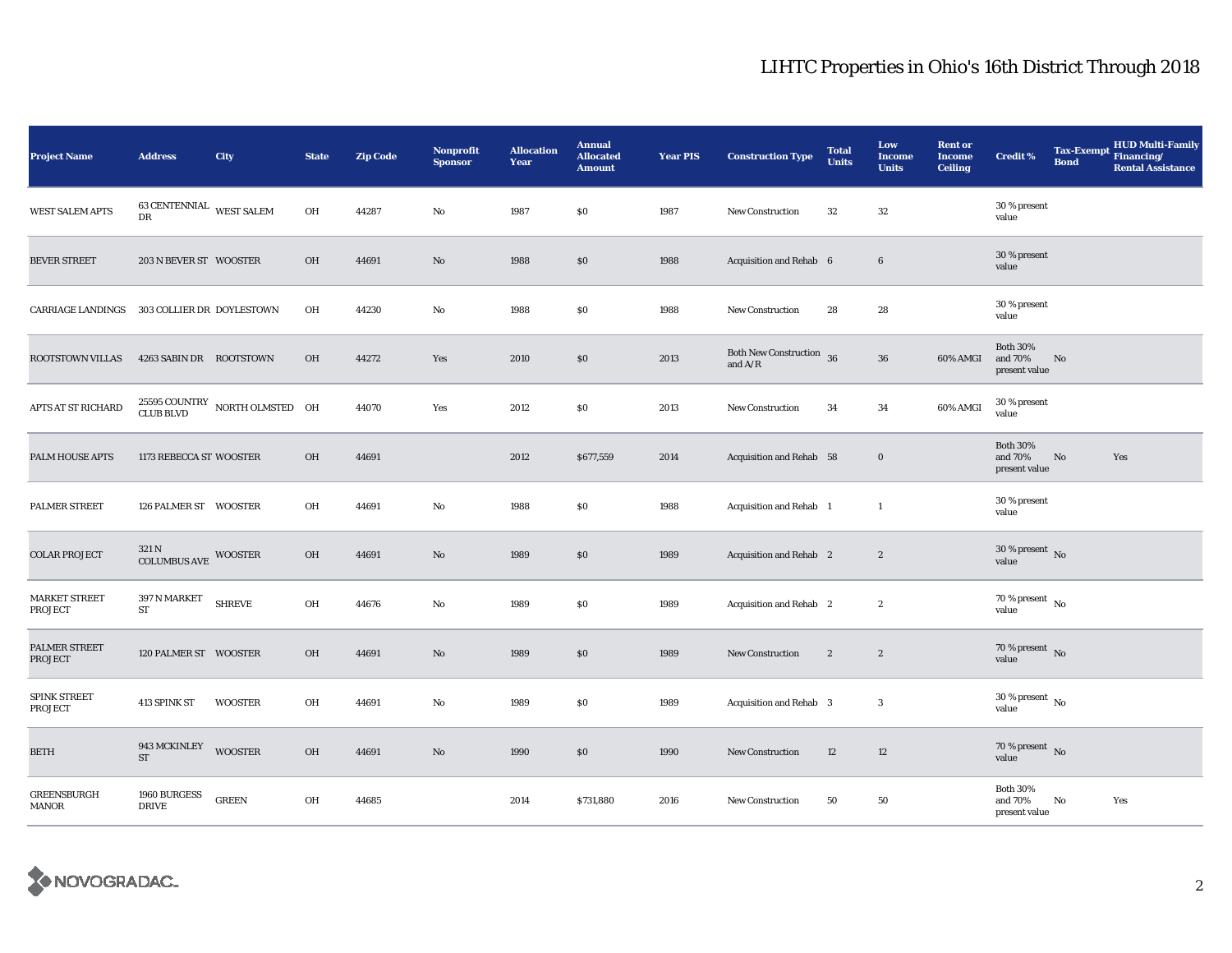## LIHTC Properties in Ohio's 16th District Through 2018

| <b>Project Name</b>             | <b>Address</b>                      | City                                                 | <b>State</b> | <b>Zip Code</b> | <b>Nonprofit</b><br><b>Sponsor</b> | <b>Allocation</b><br>Year | <b>Annual</b><br><b>Allocated</b><br><b>Amount</b> | <b>Year PIS</b> | <b>Construction Type</b>                | <b>Total</b><br><b>Units</b> | Low<br><b>Income</b><br><b>Units</b> | <b>Rent or</b><br><b>Income</b><br><b>Ceiling</b> | <b>Credit %</b>                             | <b>Tax-Exempt</b><br><b>Bond</b> | HUD Multi-Family<br>Financing/<br><b>Rental Assistance</b> |
|---------------------------------|-------------------------------------|------------------------------------------------------|--------------|-----------------|------------------------------------|---------------------------|----------------------------------------------------|-----------------|-----------------------------------------|------------------------------|--------------------------------------|---------------------------------------------------|---------------------------------------------|----------------------------------|------------------------------------------------------------|
| <b>WEST SALEM APTS</b>          | 63 CENTENNIAL WEST SALEM<br>DR      |                                                      | OH           | 44287           | No                                 | 1987                      | \$0                                                | 1987            | New Construction                        | 32                           | 32                                   |                                                   | 30 % present<br>value                       |                                  |                                                            |
| <b>BEVER STREET</b>             | 203 N BEVER ST WOOSTER              |                                                      | OH           | 44691           | $\mathbf{N}\mathbf{o}$             | 1988                      | \$0                                                | 1988            | Acquisition and Rehab 6                 |                              | $6\phantom{.0}$                      |                                                   | 30 % present<br>value                       |                                  |                                                            |
| <b>CARRIAGE LANDINGS</b>        | 303 COLLIER DR DOYLESTOWN           |                                                      | OH           | 44230           | $\mathbf{No}$                      | 1988                      | \$0                                                | 1988            | <b>New Construction</b>                 | 28                           | 28                                   |                                                   | 30 % present<br>value                       |                                  |                                                            |
| ROOTSTOWN VILLAS                | 4263 SABIN DR ROOTSTOWN             |                                                      | OH           | 44272           | Yes                                | 2010                      | \$0                                                | 2013            | Both New Construction $36$<br>and $A/R$ |                              | ${\bf 36}$                           | 60% AMGI                                          | <b>Both 30%</b><br>and 70%<br>present value | No                               |                                                            |
| APTS AT ST RICHARD              |                                     | $25595$ COUNTRY $\,$ NORTH OLMSTED $\,$ OH CLUB BLVD |              | 44070           | Yes                                | 2012                      | \$0                                                | 2013            | <b>New Construction</b>                 | 34                           | 34                                   | 60% AMGI                                          | 30 % present<br>value                       |                                  |                                                            |
| PALM HOUSE APTS                 | 1173 REBECCA ST WOOSTER             |                                                      | OH           | 44691           |                                    | 2012                      | \$677,559                                          | 2014            | Acquisition and Rehab 58                |                              | $\boldsymbol{0}$                     |                                                   | <b>Both 30%</b><br>and 70%<br>present value | No                               | Yes                                                        |
| PALMER STREET                   | 126 PALMER ST WOOSTER               |                                                      | OH           | 44691           | No                                 | 1988                      | \$0                                                | 1988            | Acquisition and Rehab 1                 |                              | $\mathbf{1}$                         |                                                   | 30 % present<br>value                       |                                  |                                                            |
| <b>COLAR PROJECT</b>            | 321 N<br>COLUMBUS AVE WOOSTER       |                                                      | OH           | 44691           | $\mathbf{N}\mathbf{o}$             | 1989                      | \$0                                                | 1989            | Acquisition and Rehab 2                 |                              | $\boldsymbol{2}$                     |                                                   | 30 % present $\overline{N_0}$<br>value      |                                  |                                                            |
| <b>MARKET STREET</b><br>PROJECT | 397 N MARKET<br>ST                  | <b>SHREVE</b>                                        | OH           | 44676           | No                                 | 1989                      | \$0                                                | 1989            | Acquisition and Rehab 2                 |                              | $\boldsymbol{2}$                     |                                                   | 70 % present $\,$ No $\,$<br>value          |                                  |                                                            |
| PALMER STREET<br><b>PROJECT</b> | 120 PALMER ST WOOSTER               |                                                      | OH           | 44691           | $\mathbf{N}\mathbf{o}$             | 1989                      | \$0                                                | 1989            | New Construction                        | $\boldsymbol{2}$             | $\boldsymbol{2}$                     |                                                   | 70 % present $\overline{N}$<br>value        |                                  |                                                            |
| SPINK STREET<br>PROJECT         | 413 SPINK ST                        | <b>WOOSTER</b>                                       | OH           | 44691           | No                                 | 1989                      | \$0                                                | 1989            | Acquisition and Rehab 3                 |                              | 3                                    |                                                   | $30$ % present $\,$ No $\,$<br>value        |                                  |                                                            |
| BETH                            | 943 MCKINLEY<br>$\operatorname{ST}$ | <b>WOOSTER</b>                                       | OH           | 44691           | $\mathbf{N}\mathbf{o}$             | 1990                      | \$0                                                | 1990            | <b>New Construction</b>                 | 12                           | 12                                   |                                                   | 70 % present $\,$ No $\,$<br>value          |                                  |                                                            |
| <b>GREENSBURGH</b><br>MANOR     | 1960 BURGESS<br><b>DRIVE</b>        | <b>GREEN</b>                                         | OH           | 44685           |                                    | 2014                      | \$731,880                                          | 2016            | <b>New Construction</b>                 | 50                           | 50                                   |                                                   | <b>Both 30%</b><br>and 70%<br>present value | No                               | Yes                                                        |